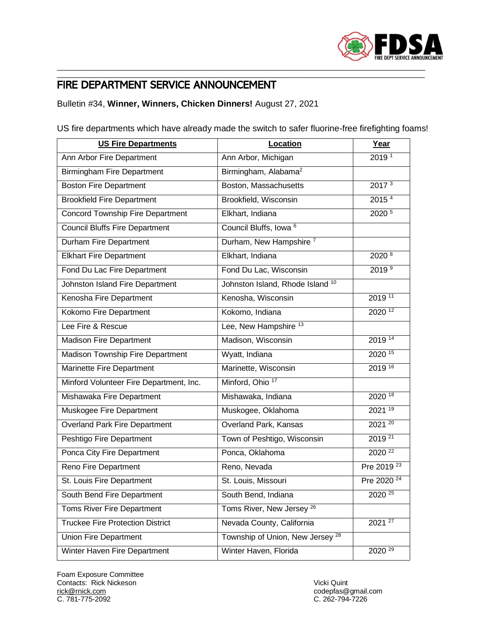

## \_\_\_\_\_\_\_\_\_\_\_\_\_\_\_\_\_\_\_\_\_\_\_\_\_\_\_\_\_\_\_\_\_\_\_\_\_\_\_\_\_\_\_\_\_\_\_\_\_\_\_\_\_\_\_\_\_\_\_\_\_\_\_\_\_\_\_\_\_\_\_\_\_\_\_\_\_\_\_\_\_\_\_\_\_\_\_\_\_\_\_\_\_\_\_\_\_\_\_\_\_\_\_\_\_\_\_\_\_\_\_\_\_\_\_\_ FIRE DEPARTMENT SERVICE ANNOUNCEMENT

Bulletin #34, **Winner, Winners, Chicken Dinners!** August 27, 2021

US fire departments which have already made the switch to safer fluorine-free firefighting foams!

\_\_\_\_\_\_\_\_\_\_\_\_\_\_\_\_\_\_\_\_\_\_\_\_\_\_\_\_\_\_\_\_\_\_\_\_\_\_\_\_\_\_\_\_\_\_\_\_\_\_\_\_\_\_\_\_\_\_\_\_\_\_\_\_\_\_\_\_\_\_\_\_\_\_\_\_\_\_\_\_\_\_\_\_\_\_\_\_\_\_\_\_\_\_\_\_\_\_\_\_\_\_\_\_\_\_\_\_\_\_\_\_\_\_\_\_

| <b>US Fire Departments</b>              | Location                                    | Year                   |
|-----------------------------------------|---------------------------------------------|------------------------|
| Ann Arbor Fire Department               | Ann Arbor, Michigan                         | 2019 <sup>1</sup>      |
| <b>Birmingham Fire Department</b>       | Birmingham, Alabama <sup>2</sup>            |                        |
| <b>Boston Fire Department</b>           | Boston, Massachusetts                       | 2017 <sup>3</sup>      |
| <b>Brookfield Fire Department</b>       | Brookfield, Wisconsin                       | 2015 <sup>4</sup>      |
| <b>Concord Township Fire Department</b> | Elkhart, Indiana                            | 2020 5                 |
| <b>Council Bluffs Fire Department</b>   | Council Bluffs, Iowa <sup>6</sup>           |                        |
| Durham Fire Department                  | Durham, New Hampshire <sup>7</sup>          |                        |
| <b>Elkhart Fire Department</b>          | Elkhart, Indiana                            | 2020 8                 |
| Fond Du Lac Fire Department             | Fond Du Lac, Wisconsin                      | 2019 <sup>9</sup>      |
| Johnston Island Fire Department         | Johnston Island, Rhode Island <sup>10</sup> |                        |
| Kenosha Fire Department                 | Kenosha, Wisconsin                          | 2019 11                |
| Kokomo Fire Department                  | Kokomo, Indiana                             | 2020 <sup>12</sup>     |
| Lee Fire & Rescue                       | Lee, New Hampshire <sup>13</sup>            |                        |
| <b>Madison Fire Department</b>          | Madison, Wisconsin                          | 2019 14                |
| Madison Township Fire Department        | Wyatt, Indiana                              | $2020^{15}$            |
| Marinette Fire Department               | Marinette, Wisconsin                        | 2019 16                |
| Minford Volunteer Fire Department, Inc. | Minford, Ohio <sup>17</sup>                 |                        |
| Mishawaka Fire Department               | Mishawaka, Indiana                          | $2020^{18}$            |
| Muskogee Fire Department                | Muskogee, Oklahoma                          | $2021^{19}$            |
| Overland Park Fire Department           | Overland Park, Kansas                       | $2021^{20}$            |
| Peshtigo Fire Department                | Town of Peshtigo, Wisconsin                 | 2019 21                |
| Ponca City Fire Department              | Ponca, Oklahoma                             | $2020^{22}$            |
| Reno Fire Department                    | Reno, Nevada                                | Pre 2019 <sup>23</sup> |
| St. Louis Fire Department               | St. Louis, Missouri                         | Pre 2020 <sup>24</sup> |
| South Bend Fire Department              | South Bend, Indiana                         | $2020^{25}$            |
| <b>Toms River Fire Department</b>       | Toms River, New Jersey <sup>26</sup>        |                        |
| <b>Truckee Fire Protection District</b> | Nevada County, California                   | $2021^{27}$            |
| <b>Union Fire Department</b>            | Township of Union, New Jersey <sup>28</sup> |                        |
| Winter Haven Fire Department            | Winter Haven, Florida                       | $2020^{29}$            |